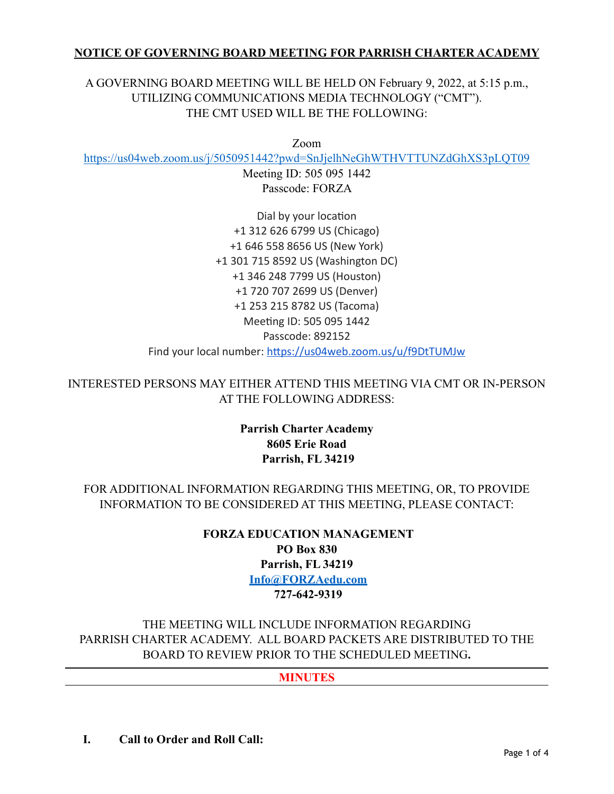# **NOTICE OF GOVERNING BOARD MEETING FOR PARRISH CHARTER ACADEMY**

# A GOVERNING BOARD MEETING WILL BE HELD ON February 9, 2022, at 5:15 p.m., UTILIZING COMMUNICATIONS MEDIA TECHNOLOGY ("CMT"). THE CMT USED WILL BE THE FOLLOWING:

Zoom

<https://us04web.zoom.us/j/5050951442?pwd=SnJjelhNeGhWTHVTTUNZdGhXS3pLQT09>

Meeting ID: 505 095 1442 Passcode: FORZA

Dial by your location +1 312 626 6799 US (Chicago) +1 646 558 8656 US (New York) +1 301 715 8592 US (Washington DC) +1 346 248 7799 US (Houston) +1 720 707 2699 US (Denver) +1 253 215 8782 US (Tacoma) Meeting ID: 505 095 1442 Passcode: 892152 Find your local number:<https://us04web.zoom.us/u/f9DtTUMJw>

INTERESTED PERSONS MAY EITHER ATTEND THIS MEETING VIA CMT OR IN-PERSON AT THE FOLLOWING ADDRESS:

> **Parrish Charter Academy 8605 Erie Road Parrish, FL 34219**

FOR ADDITIONAL INFORMATION REGARDING THIS MEETING, OR, TO PROVIDE INFORMATION TO BE CONSIDERED AT THIS MEETING, PLEASE CONTACT:

> **FORZA EDUCATION MANAGEMENT PO Box 830 Parrish, FL 34219 [Info@FORZAedu.com](mailto:Info@FORZAedu.com) 727-642-9319**

THE MEETING WILL INCLUDE INFORMATION REGARDING PARRISH CHARTER ACADEMY. ALL BOARD PACKETS ARE DISTRIBUTED TO THE BOARD TO REVIEW PRIOR TO THE SCHEDULED MEETING**.**

**MINUTES**

**I. Call to Order and Roll Call:**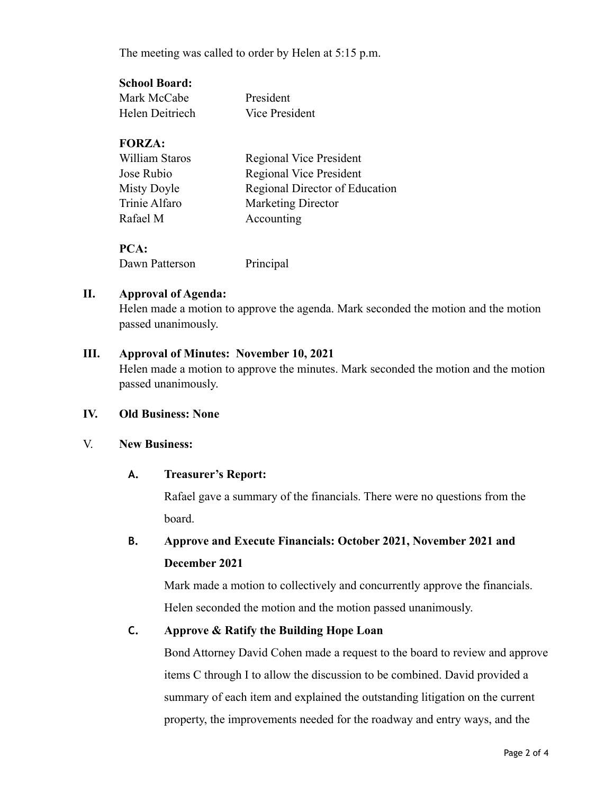The meeting was called to order by Helen at 5:15 p.m.

### **School Board:**

| Mark McCabe     | President      |
|-----------------|----------------|
| Helen Deitriech | Vice President |

# **FORZA:**

| William Staros | Regional Vice President        |
|----------------|--------------------------------|
| Jose Rubio     | Regional Vice President        |
| Misty Doyle    | Regional Director of Education |
| Trinie Alfaro  | <b>Marketing Director</b>      |
| Rafael M       | Accounting                     |
|                |                                |

**PCA:** Dawn Patterson Principal

# **II. Approval of Agenda:**

Helen made a motion to approve the agenda. Mark seconded the motion and the motion passed unanimously.

# **III. Approval of Minutes: November 10, 2021**

Helen made a motion to approve the minutes. Mark seconded the motion and the motion passed unanimously.

# **IV. Old Business: None**

#### V. **New Business:**

# **A. Treasurer's Report:**

Rafael gave a summary of the financials. There were no questions from the board.

# **B. Approve and Execute Financials: October 2021, November 2021 and December 2021**

Mark made a motion to collectively and concurrently approve the financials. Helen seconded the motion and the motion passed unanimously.

# **C. Approve & Ratify the Building Hope Loan**

Bond Attorney David Cohen made a request to the board to review and approve items C through I to allow the discussion to be combined. David provided a summary of each item and explained the outstanding litigation on the current property, the improvements needed for the roadway and entry ways, and the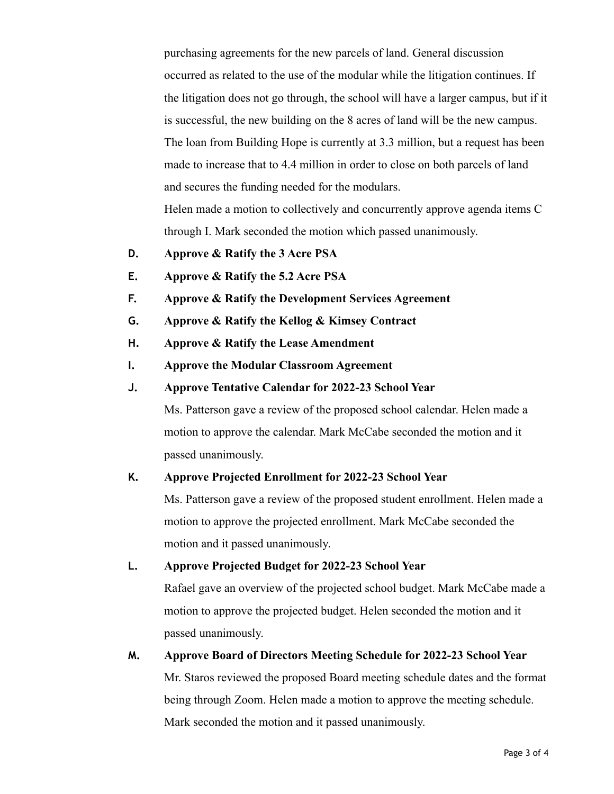purchasing agreements for the new parcels of land. General discussion occurred as related to the use of the modular while the litigation continues. If the litigation does not go through, the school will have a larger campus, but if it is successful, the new building on the 8 acres of land will be the new campus. The loan from Building Hope is currently at 3.3 million, but a request has been made to increase that to 4.4 million in order to close on both parcels of land and secures the funding needed for the modulars. Helen made a motion to collectively and concurrently approve agenda items C through I. Mark seconded the motion which passed unanimously.

- **D. Approve & Ratify the 3 Acre PSA**
- **E. Approve & Ratify the 5.2 Acre PSA**
- **F. Approve & Ratify the Development Services Agreement**
- **G. Approve & Ratify the Kellog & Kimsey Contract**
- **H. Approve & Ratify the Lease Amendment**
- **I. Approve the Modular Classroom Agreement**
- **J. Approve Tentative Calendar for 2022-23 School Year**

Ms. Patterson gave a review of the proposed school calendar. Helen made a motion to approve the calendar. Mark McCabe seconded the motion and it passed unanimously.

#### **K. Approve Projected Enrollment for 2022-23 School Year**

Ms. Patterson gave a review of the proposed student enrollment. Helen made a motion to approve the projected enrollment. Mark McCabe seconded the motion and it passed unanimously.

#### **L. Approve Projected Budget for 2022-23 School Year**

Rafael gave an overview of the projected school budget. Mark McCabe made a motion to approve the projected budget. Helen seconded the motion and it passed unanimously.

# **M. Approve Board of Directors Meeting Schedule for 2022-23 School Year**

Mr. Staros reviewed the proposed Board meeting schedule dates and the format being through Zoom. Helen made a motion to approve the meeting schedule. Mark seconded the motion and it passed unanimously.